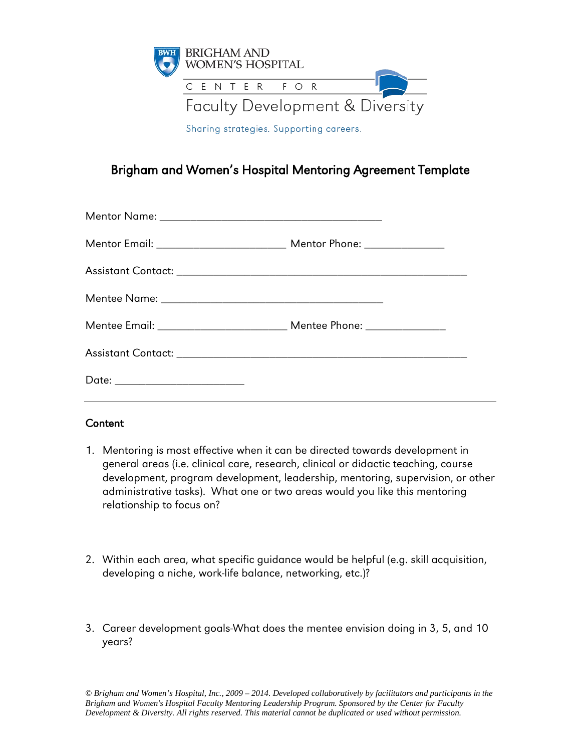

Brigham and Women's Hospital Mentoring Agreement Template

### **Content**

- 1. Mentoring is most effective when it can be directed towards development in general areas (i.e. clinical care, research, clinical or didactic teaching, course development, program development, leadership, mentoring, supervision, or other administrative tasks). What one or two areas would you like this mentoring relationship to focus on?
- 2. Within each area, what specific guidance would be helpful (e.g. skill acquisition, developing a niche, work-life balance, networking, etc.)?
- 3. Career development goals-What does the mentee envision doing in 3, 5, and 10 years?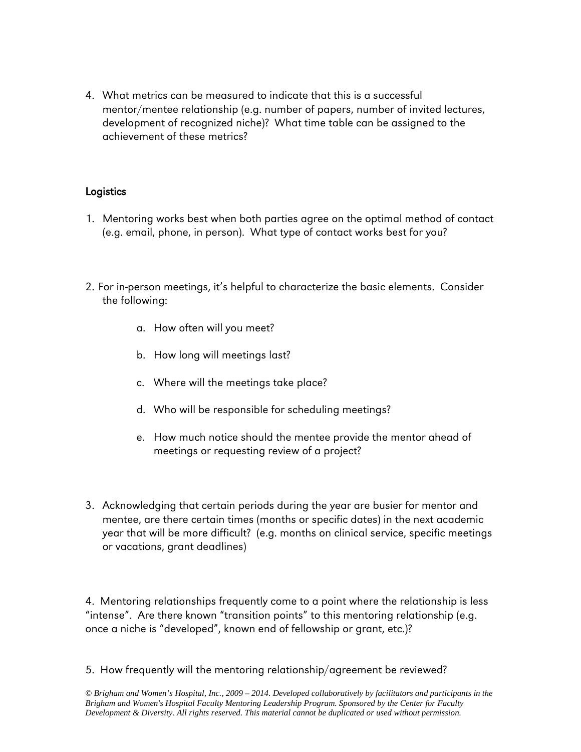4. What metrics can be measured to indicate that this is a successful mentor/mentee relationship (e.g. number of papers, number of invited lectures, development of recognized niche)? What time table can be assigned to the achievement of these metrics?

### **Logistics**

- 1. Mentoring works best when both parties agree on the optimal method of contact (e.g. email, phone, in person). What type of contact works best for you?
- 2. For in-person meetings, it's helpful to characterize the basic elements. Consider the following:
	- a. How often will you meet?
	- b. How long will meetings last?
	- c. Where will the meetings take place?
	- d. Who will be responsible for scheduling meetings?
	- e. How much notice should the mentee provide the mentor ahead of meetings or requesting review of a project?
- 3. Acknowledging that certain periods during the year are busier for mentor and mentee, are there certain times (months or specific dates) in the next academic year that will be more difficult? (e.g. months on clinical service, specific meetings or vacations, grant deadlines)

4. Mentoring relationships frequently come to a point where the relationship is less "intense". Are there known "transition points" to this mentoring relationship (e.g. once a niche is "developed", known end of fellowship or grant, etc.)?

5. How frequently will the mentoring relationship/agreement be reviewed?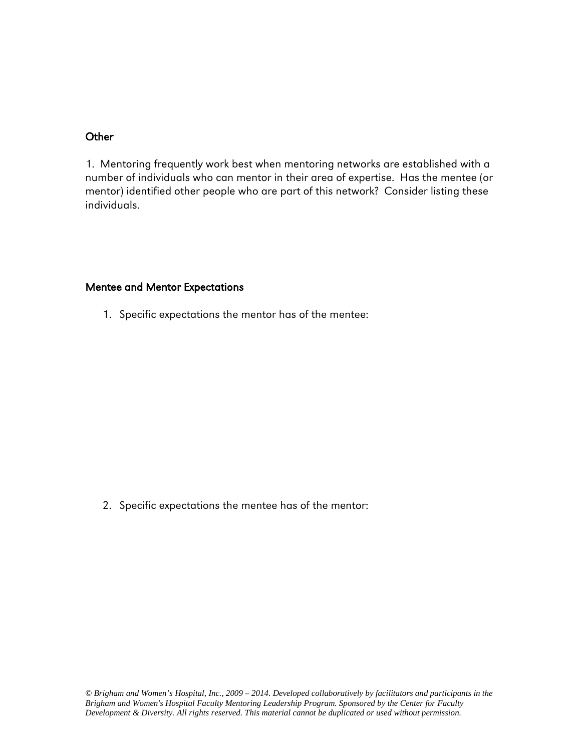#### **Other**

1. Mentoring frequently work best when mentoring networks are established with a number of individuals who can mentor in their area of expertise. Has the mentee (or mentor) identified other people who are part of this network? Consider listing these individuals.

#### Mentee and Mentor Expectations

1. Specific expectations the mentor has of the mentee:

2. Specific expectations the mentee has of the mentor: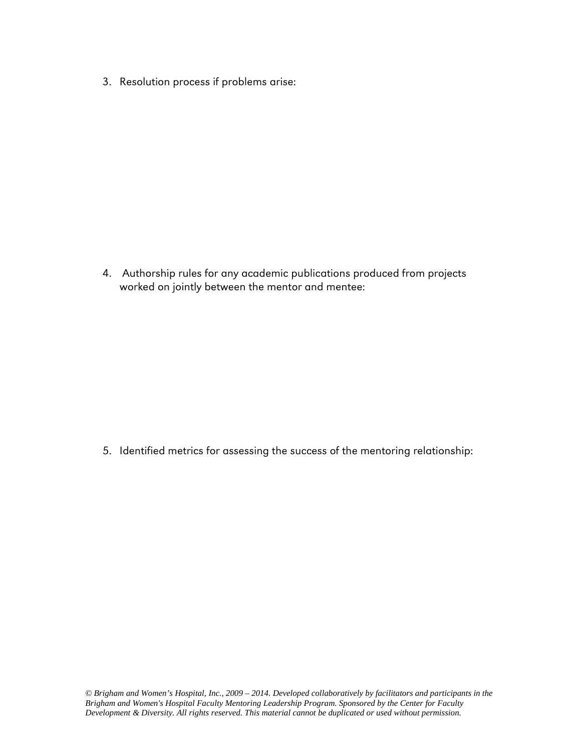3. Resolution process if problems arise:

4. Authorship rules for any academic publications produced from projects worked on jointly between the mentor and mentee:

5. Identified metrics for assessing the success of the mentoring relationship: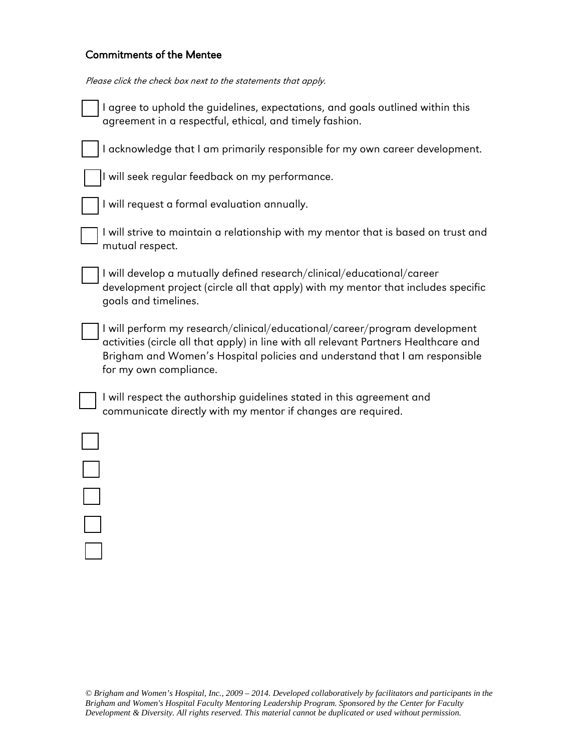# Commitments of the Mentee

| Please click the check box next to the statements that apply. |
|---------------------------------------------------------------|
|---------------------------------------------------------------|

| I agree to uphold the guidelines, expectations, and goals outlined within this<br>agreement in a respectful, ethical, and timely fashion.                                                                                                                                  |
|----------------------------------------------------------------------------------------------------------------------------------------------------------------------------------------------------------------------------------------------------------------------------|
| I acknowledge that I am primarily responsible for my own career development.                                                                                                                                                                                               |
| I will seek regular feedback on my performance.                                                                                                                                                                                                                            |
| I will request a formal evaluation annually.                                                                                                                                                                                                                               |
| I will strive to maintain a relationship with my mentor that is based on trust and<br>mutual respect.                                                                                                                                                                      |
| I will develop a mutually defined research/clinical/educational/career<br>development project (circle all that apply) with my mentor that includes specific<br>goals and timelines.                                                                                        |
| I will perform my research/clinical/educational/career/program development<br>activities (circle all that apply) in line with all relevant Partners Healthcare and<br>Brigham and Women's Hospital policies and understand that I am responsible<br>for my own compliance. |
| I will respect the authorship guidelines stated in this agreement and<br>communicate directly with my mentor if changes are required.                                                                                                                                      |
|                                                                                                                                                                                                                                                                            |
|                                                                                                                                                                                                                                                                            |
|                                                                                                                                                                                                                                                                            |
|                                                                                                                                                                                                                                                                            |
|                                                                                                                                                                                                                                                                            |